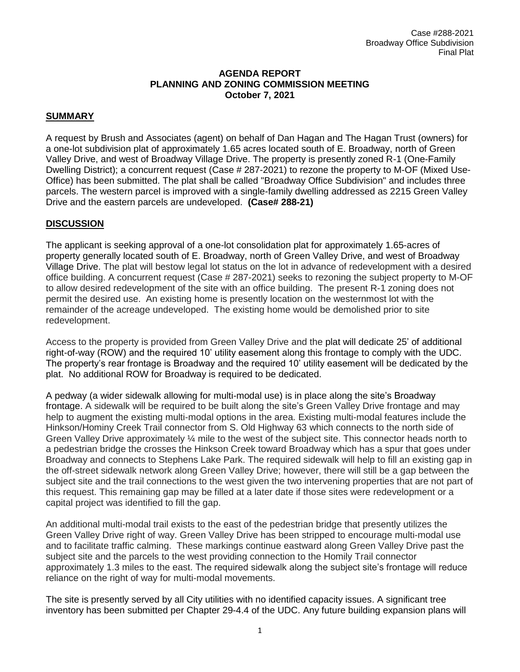#### **AGENDA REPORT PLANNING AND ZONING COMMISSION MEETING October 7, 2021**

## **SUMMARY**

A request by Brush and Associates (agent) on behalf of Dan Hagan and The Hagan Trust (owners) for a one-lot subdivision plat of approximately 1.65 acres located south of E. Broadway, north of Green Valley Drive, and west of Broadway Village Drive. The property is presently zoned R-1 (One-Family Dwelling District); a concurrent request (Case # 287-2021) to rezone the property to M-OF (Mixed Use-Office) has been submitted. The plat shall be called "Broadway Office Subdivision" and includes three parcels. The western parcel is improved with a single-family dwelling addressed as 2215 Green Valley Drive and the eastern parcels are undeveloped. **(Case# 288-21)**

## **DISCUSSION**

The applicant is seeking approval of a one-lot consolidation plat for approximately 1.65-acres of property generally located south of E. Broadway, north of Green Valley Drive, and west of Broadway Village Drive. The plat will bestow legal lot status on the lot in advance of redevelopment with a desired office building. A concurrent request (Case # 287-2021) seeks to rezoning the subject property to M-OF to allow desired redevelopment of the site with an office building. The present R-1 zoning does not permit the desired use. An existing home is presently location on the westernmost lot with the remainder of the acreage undeveloped. The existing home would be demolished prior to site redevelopment.

Access to the property is provided from Green Valley Drive and the plat will dedicate 25' of additional right-of-way (ROW) and the required 10' utility easement along this frontage to comply with the UDC. The property's rear frontage is Broadway and the required 10' utility easement will be dedicated by the plat. No additional ROW for Broadway is required to be dedicated.

A pedway (a wider sidewalk allowing for multi-modal use) is in place along the site's Broadway frontage. A sidewalk will be required to be built along the site's Green Valley Drive frontage and may help to augment the existing multi-modal options in the area. Existing multi-modal features include the Hinkson/Hominy Creek Trail connector from S. Old Highway 63 which connects to the north side of Green Valley Drive approximately ¼ mile to the west of the subject site. This connector heads north to a pedestrian bridge the crosses the Hinkson Creek toward Broadway which has a spur that goes under Broadway and connects to Stephens Lake Park. The required sidewalk will help to fill an existing gap in the off-street sidewalk network along Green Valley Drive; however, there will still be a gap between the subject site and the trail connections to the west given the two intervening properties that are not part of this request. This remaining gap may be filled at a later date if those sites were redevelopment or a capital project was identified to fill the gap.

An additional multi-modal trail exists to the east of the pedestrian bridge that presently utilizes the Green Valley Drive right of way. Green Valley Drive has been stripped to encourage multi-modal use and to facilitate traffic calming. These markings continue eastward along Green Valley Drive past the subject site and the parcels to the west providing connection to the Homily Trail connector approximately 1.3 miles to the east. The required sidewalk along the subject site's frontage will reduce reliance on the right of way for multi-modal movements.

The site is presently served by all City utilities with no identified capacity issues. A significant tree inventory has been submitted per Chapter 29-4.4 of the UDC. Any future building expansion plans will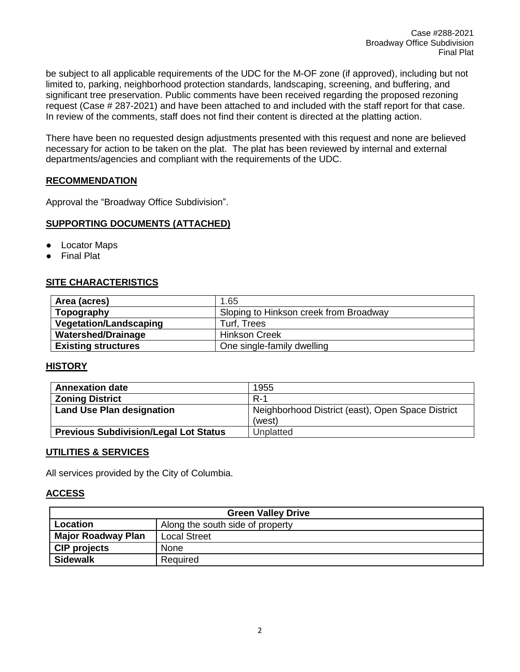be subject to all applicable requirements of the UDC for the M-OF zone (if approved), including but not limited to, parking, neighborhood protection standards, landscaping, screening, and buffering, and significant tree preservation. Public comments have been received regarding the proposed rezoning request (Case # 287-2021) and have been attached to and included with the staff report for that case. In review of the comments, staff does not find their content is directed at the platting action.

There have been no requested design adjustments presented with this request and none are believed necessary for action to be taken on the plat. The plat has been reviewed by internal and external departments/agencies and compliant with the requirements of the UDC.

#### **RECOMMENDATION**

Approval the "Broadway Office Subdivision".

## **SUPPORTING DOCUMENTS (ATTACHED)**

- Locator Maps
- **Final Plat**

## **SITE CHARACTERISTICS**

| Area (acres)                  | 1.65                                   |
|-------------------------------|----------------------------------------|
| Topography                    | Sloping to Hinkson creek from Broadway |
| <b>Vegetation/Landscaping</b> | Turf, Trees                            |
| <b>Watershed/Drainage</b>     | <b>Hinkson Creek</b>                   |
| <b>Existing structures</b>    | One single-family dwelling             |

## **HISTORY**

| <b>Annexation date</b>                       | 1955                                              |
|----------------------------------------------|---------------------------------------------------|
| <b>Zoning District</b>                       | $R-1$                                             |
| Land Use Plan designation                    | Neighborhood District (east), Open Space District |
|                                              | (west)                                            |
| <b>Previous Subdivision/Legal Lot Status</b> | Unplatted                                         |

#### **UTILITIES & SERVICES**

All services provided by the City of Columbia.

#### **ACCESS**

| <b>Green Valley Drive</b> |                                  |  |
|---------------------------|----------------------------------|--|
| Location                  | Along the south side of property |  |
| <b>Major Roadway Plan</b> | <b>Local Street</b>              |  |
| <b>CIP projects</b>       | <b>None</b>                      |  |
| <b>Sidewalk</b>           | Required                         |  |